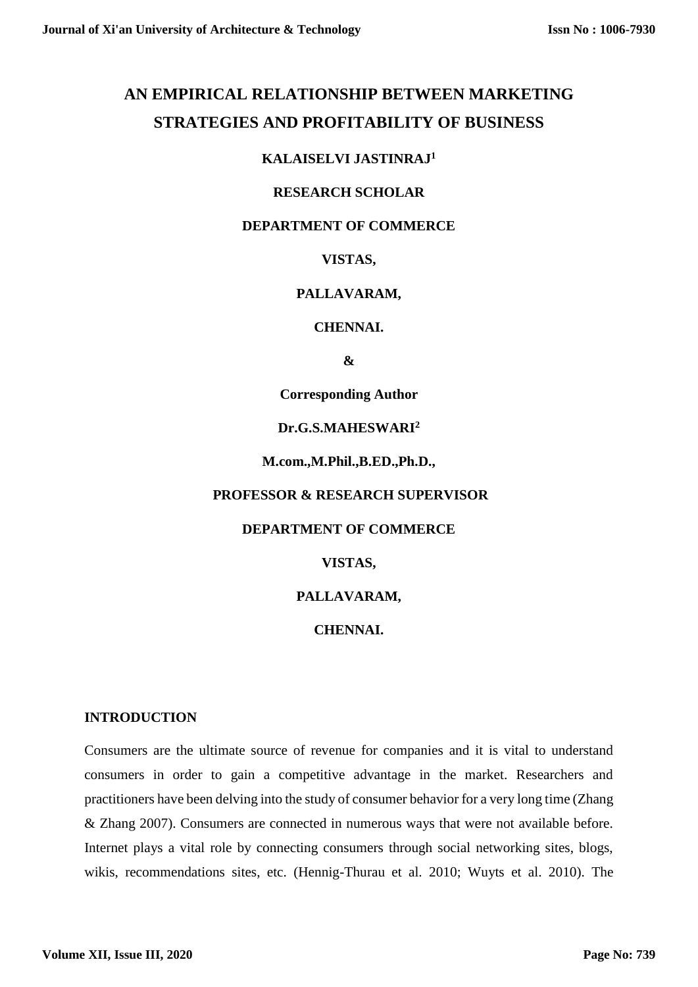# **AN EMPIRICAL RELATIONSHIP BETWEEN MARKETING STRATEGIES AND PROFITABILITY OF BUSINESS**

## **KALAISELVI JASTINRAJ<sup>1</sup>**

## **RESEARCH SCHOLAR**

# **DEPARTMENT OF COMMERCE**

# **VISTAS,**

# **PALLAVARAM,**

#### **CHENNAI.**

#### **&**

**Corresponding Author**

## **Dr.G.S.MAHESWARI<sup>2</sup>**

## **M.com.,M.Phil.,B.ED.,Ph.D.,**

#### **PROFESSOR & RESEARCH SUPERVISOR**

#### **DEPARTMENT OF COMMERCE**

# **VISTAS,**

# **PALLAVARAM,**

# **CHENNAI.**

#### **INTRODUCTION**

Consumers are the ultimate source of revenue for companies and it is vital to understand consumers in order to gain a competitive advantage in the market. Researchers and practitioners have been delving into the study of consumer behavior for a very long time (Zhang & Zhang 2007). Consumers are connected in numerous ways that were not available before. Internet plays a vital role by connecting consumers through social networking sites, blogs, wikis, recommendations sites, etc. (Hennig-Thurau et al. 2010; Wuyts et al. 2010). The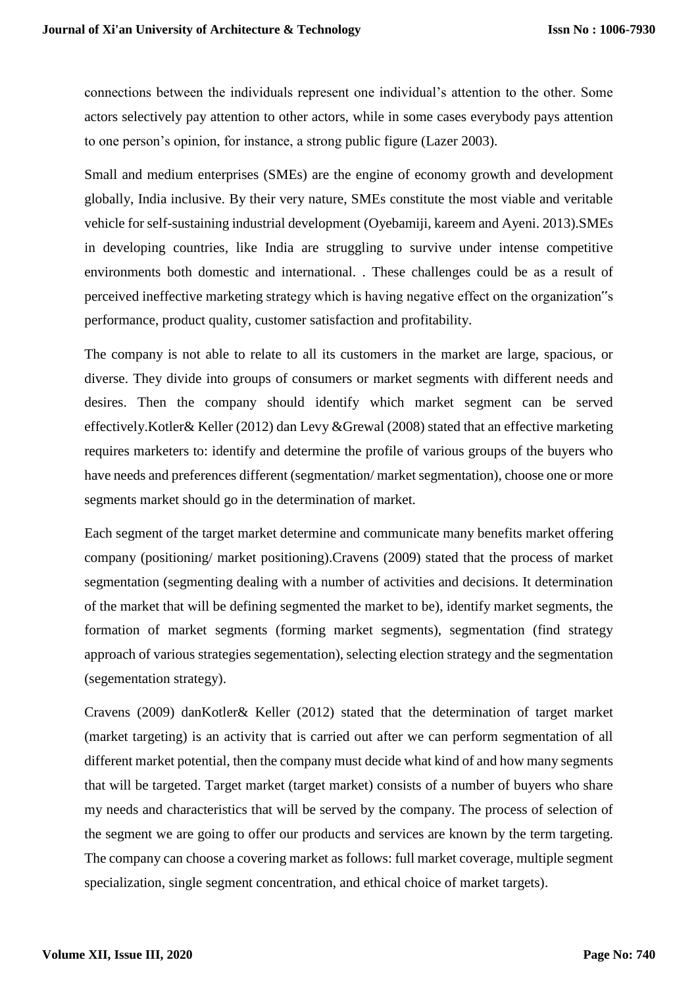connections between the individuals represent one individual's attention to the other. Some actors selectively pay attention to other actors, while in some cases everybody pays attention to one person's opinion, for instance, a strong public figure (Lazer 2003).

Small and medium enterprises (SMEs) are the engine of economy growth and development globally, India inclusive. By their very nature, SMEs constitute the most viable and veritable vehicle for self-sustaining industrial development (Oyebamiji, kareem and Ayeni. 2013).SMEs in developing countries, like India are struggling to survive under intense competitive environments both domestic and international. . These challenges could be as a result of perceived ineffective marketing strategy which is having negative effect on the organization"s performance, product quality, customer satisfaction and profitability.

The company is not able to relate to all its customers in the market are large, spacious, or diverse. They divide into groups of consumers or market segments with different needs and desires. Then the company should identify which market segment can be served effectively.Kotler& Keller (2012) dan Levy &Grewal (2008) stated that an effective marketing requires marketers to: identify and determine the profile of various groups of the buyers who have needs and preferences different (segmentation/ market segmentation), choose one or more segments market should go in the determination of market.

Each segment of the target market determine and communicate many benefits market offering company (positioning/ market positioning).Cravens (2009) stated that the process of market segmentation (segmenting dealing with a number of activities and decisions. It determination of the market that will be defining segmented the market to be), identify market segments, the formation of market segments (forming market segments), segmentation (find strategy approach of various strategies segementation), selecting election strategy and the segmentation (segementation strategy).

Cravens (2009) danKotler& Keller (2012) stated that the determination of target market (market targeting) is an activity that is carried out after we can perform segmentation of all different market potential, then the company must decide what kind of and how many segments that will be targeted. Target market (target market) consists of a number of buyers who share my needs and characteristics that will be served by the company. The process of selection of the segment we are going to offer our products and services are known by the term targeting. The company can choose a covering market as follows: full market coverage, multiple segment specialization, single segment concentration, and ethical choice of market targets).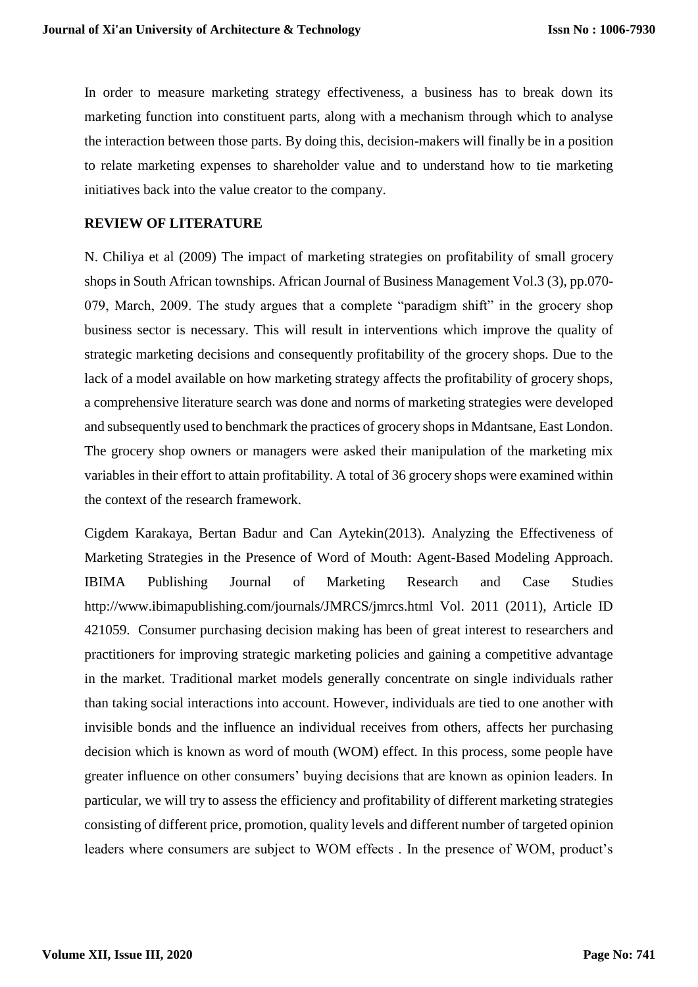In order to measure marketing strategy effectiveness, a business has to break down its marketing function into constituent parts, along with a mechanism through which to analyse the interaction between those parts. By doing this, decision-makers will finally be in a position to relate marketing expenses to shareholder value and to understand how to tie marketing initiatives back into the value creator to the company.

#### **REVIEW OF LITERATURE**

N. Chiliya et al (2009) The impact of marketing strategies on profitability of small grocery shops in South African townships. African Journal of Business Management Vol.3 (3), pp.070- 079, March, 2009. The study argues that a complete "paradigm shift" in the grocery shop business sector is necessary. This will result in interventions which improve the quality of strategic marketing decisions and consequently profitability of the grocery shops. Due to the lack of a model available on how marketing strategy affects the profitability of grocery shops, a comprehensive literature search was done and norms of marketing strategies were developed and subsequently used to benchmark the practices of grocery shops in Mdantsane, East London. The grocery shop owners or managers were asked their manipulation of the marketing mix variables in their effort to attain profitability. A total of 36 grocery shops were examined within the context of the research framework.

Cigdem Karakaya, Bertan Badur and Can Aytekin(2013). Analyzing the Effectiveness of Marketing Strategies in the Presence of Word of Mouth: Agent-Based Modeling Approach. IBIMA Publishing Journal of Marketing Research and Case Studies http://www.ibimapublishing.com/journals/JMRCS/jmrcs.html Vol. 2011 (2011), Article ID 421059. Consumer purchasing decision making has been of great interest to researchers and practitioners for improving strategic marketing policies and gaining a competitive advantage in the market. Traditional market models generally concentrate on single individuals rather than taking social interactions into account. However, individuals are tied to one another with invisible bonds and the influence an individual receives from others, affects her purchasing decision which is known as word of mouth (WOM) effect. In this process, some people have greater influence on other consumers' buying decisions that are known as opinion leaders. In particular, we will try to assess the efficiency and profitability of different marketing strategies consisting of different price, promotion, quality levels and different number of targeted opinion leaders where consumers are subject to WOM effects . In the presence of WOM, product's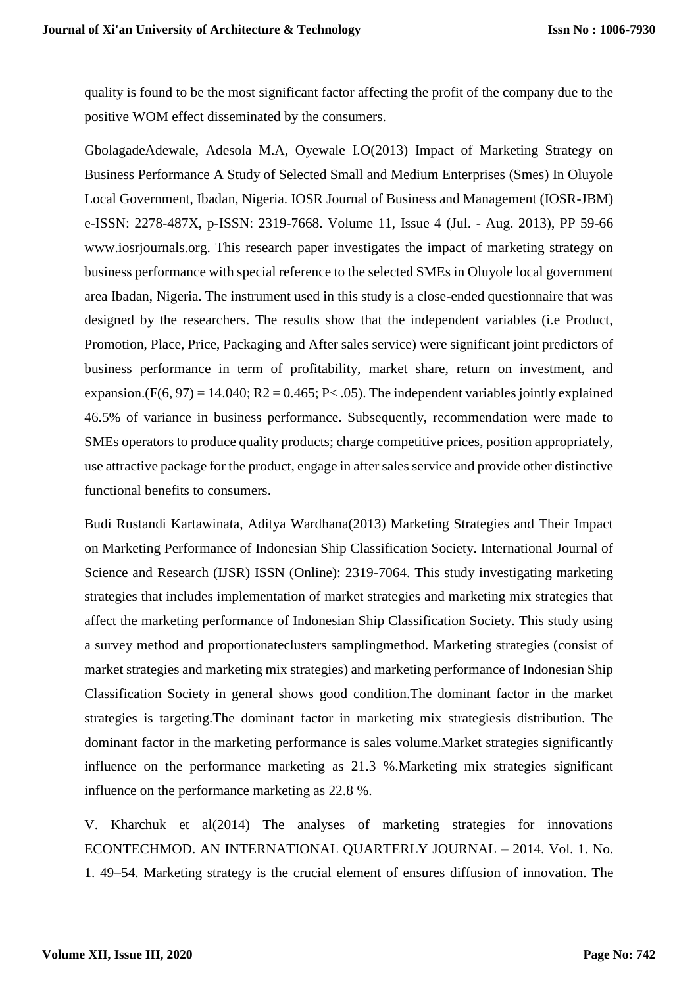quality is found to be the most significant factor affecting the profit of the company due to the positive WOM effect disseminated by the consumers.

GbolagadeAdewale, Adesola M.A, Oyewale I.O(2013) Impact of Marketing Strategy on Business Performance A Study of Selected Small and Medium Enterprises (Smes) In Oluyole Local Government, Ibadan, Nigeria. IOSR Journal of Business and Management (IOSR-JBM) e-ISSN: 2278-487X, p-ISSN: 2319-7668. Volume 11, Issue 4 (Jul. - Aug. 2013), PP 59-66 www.iosrjournals.org. This research paper investigates the impact of marketing strategy on business performance with special reference to the selected SMEs in Oluyole local government area Ibadan, Nigeria. The instrument used in this study is a close-ended questionnaire that was designed by the researchers. The results show that the independent variables (i.e Product, Promotion, Place, Price, Packaging and After sales service) were significant joint predictors of business performance in term of profitability, market share, return on investment, and expansion.(F(6, 97) = 14.040; R2 = 0.465; P< .05). The independent variables jointly explained 46.5% of variance in business performance. Subsequently, recommendation were made to SMEs operators to produce quality products; charge competitive prices, position appropriately, use attractive package for the product, engage in after sales service and provide other distinctive functional benefits to consumers.

Budi Rustandi Kartawinata, Aditya Wardhana(2013) Marketing Strategies and Their Impact on Marketing Performance of Indonesian Ship Classification Society. International Journal of Science and Research (IJSR) ISSN (Online): 2319-7064. This study investigating marketing strategies that includes implementation of market strategies and marketing mix strategies that affect the marketing performance of Indonesian Ship Classification Society. This study using a survey method and proportionateclusters samplingmethod. Marketing strategies (consist of market strategies and marketing mix strategies) and marketing performance of Indonesian Ship Classification Society in general shows good condition.The dominant factor in the market strategies is targeting.The dominant factor in marketing mix strategiesis distribution. The dominant factor in the marketing performance is sales volume.Market strategies significantly influence on the performance marketing as 21.3 %.Marketing mix strategies significant influence on the performance marketing as 22.8 %.

V. Kharchuk et al(2014) The analyses of marketing strategies for innovations ECONTECHMOD. AN INTERNATIONAL QUARTERLY JOURNAL – 2014. Vol. 1. No. 1. 49–54. Marketing strategy is the crucial element of ensures diffusion of innovation. The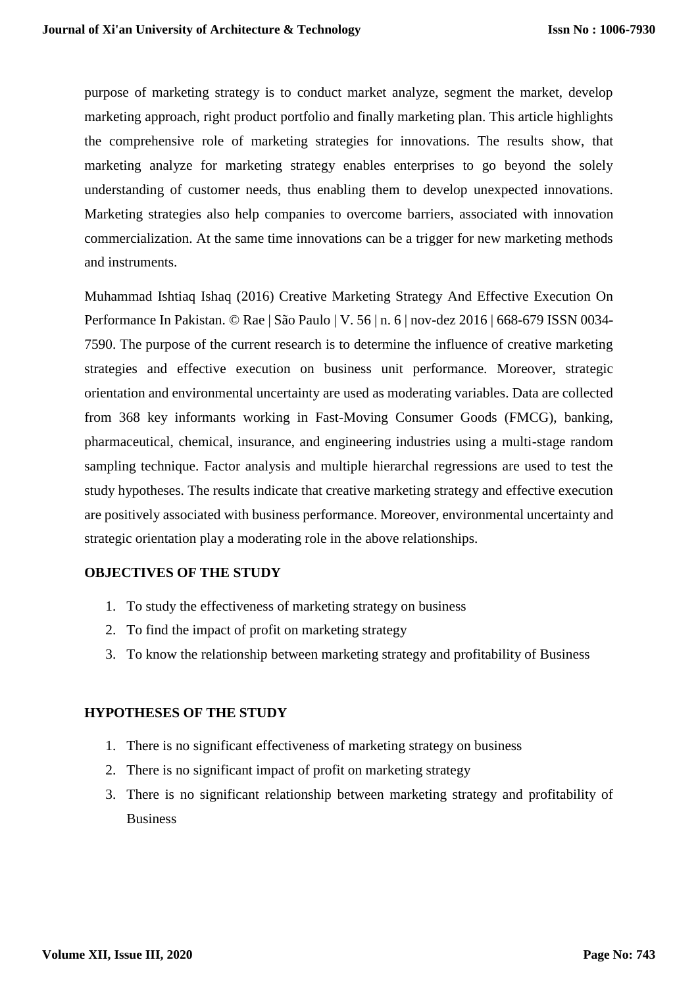purpose of marketing strategy is to conduct market analyze, segment the market, develop marketing approach, right product portfolio and finally marketing plan. This article highlights the comprehensive role of marketing strategies for innovations. The results show, that marketing analyze for marketing strategy enables enterprises to go beyond the solely understanding of customer needs, thus enabling them to develop unexpected innovations. Marketing strategies also help companies to overcome barriers, associated with innovation commercialization. At the same time innovations can be a trigger for new marketing methods and instruments.

Muhammad Ishtiaq Ishaq (2016) Creative Marketing Strategy And Effective Execution On Performance In Pakistan. © Rae | São Paulo | V. 56 | n. 6 | nov-dez 2016 | 668-679 ISSN 0034- 7590. The purpose of the current research is to determine the influence of creative marketing strategies and effective execution on business unit performance. Moreover, strategic orientation and environmental uncertainty are used as moderating variables. Data are collected from 368 key informants working in Fast-Moving Consumer Goods (FMCG), banking, pharmaceutical, chemical, insurance, and engineering industries using a multi-stage random sampling technique. Factor analysis and multiple hierarchal regressions are used to test the study hypotheses. The results indicate that creative marketing strategy and effective execution are positively associated with business performance. Moreover, environmental uncertainty and strategic orientation play a moderating role in the above relationships.

#### **OBJECTIVES OF THE STUDY**

- 1. To study the effectiveness of marketing strategy on business
- 2. To find the impact of profit on marketing strategy
- 3. To know the relationship between marketing strategy and profitability of Business

# **HYPOTHESES OF THE STUDY**

- 1. There is no significant effectiveness of marketing strategy on business
- 2. There is no significant impact of profit on marketing strategy
- 3. There is no significant relationship between marketing strategy and profitability of Business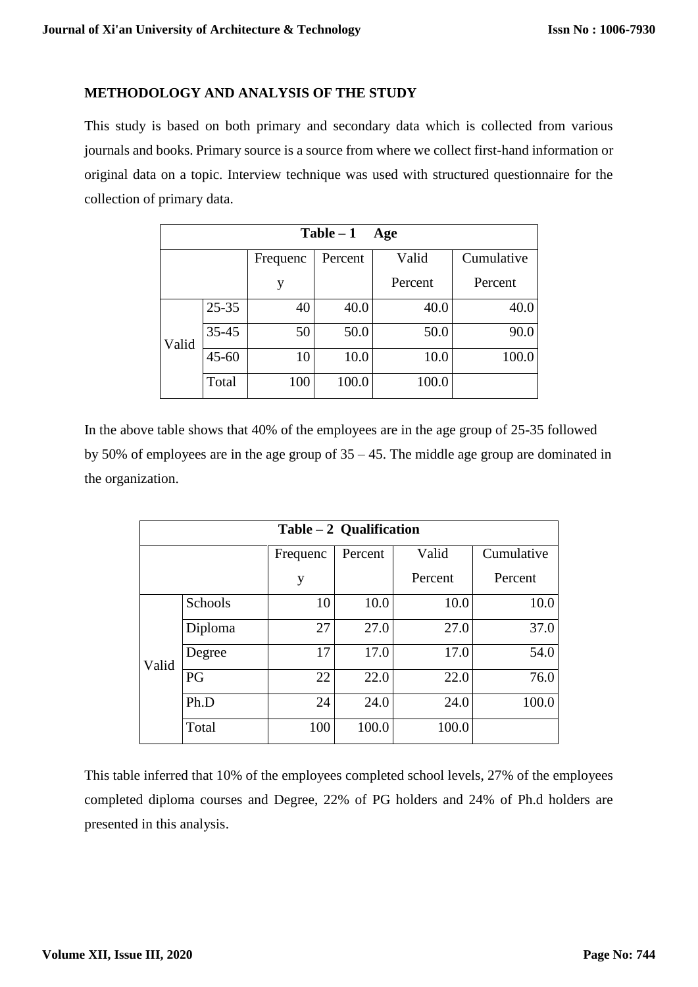## **METHODOLOGY AND ANALYSIS OF THE STUDY**

This study is based on both primary and secondary data which is collected from various journals and books. Primary source is a source from where we collect first-hand information or original data on a topic. Interview technique was used with structured questionnaire for the collection of primary data.

| $Table - 1$<br>Age |           |          |         |         |            |  |  |  |
|--------------------|-----------|----------|---------|---------|------------|--|--|--|
|                    |           | Frequenc | Percent | Valid   | Cumulative |  |  |  |
|                    |           | y        |         | Percent | Percent    |  |  |  |
| Valid              | $25 - 35$ | 40       | 40.0    | 40.0    | 40.0       |  |  |  |
|                    | $35 - 45$ | 50       | 50.0    | 50.0    | 90.0       |  |  |  |
|                    | $45 - 60$ | 10       | 10.0    | 10.0    | 100.0      |  |  |  |
|                    | Total     | 100      | 100.0   | 100.0   |            |  |  |  |

In the above table shows that 40% of the employees are in the age group of 25-35 followed by 50% of employees are in the age group of 35 – 45. The middle age group are dominated in the organization.

| Table $-2$ Qualification |         |          |         |         |            |  |  |
|--------------------------|---------|----------|---------|---------|------------|--|--|
|                          |         | Frequenc | Percent | Valid   | Cumulative |  |  |
|                          |         | y        |         | Percent | Percent    |  |  |
| Valid                    | Schools | 10       | 10.0    | 10.0    | 10.0       |  |  |
|                          | Diploma | 27       | 27.0    | 27.0    | 37.0       |  |  |
|                          | Degree  | 17       | 17.0    | 17.0    | 54.0       |  |  |
|                          | PG      | 22       | 22.0    | 22.0    | 76.0       |  |  |
|                          | Ph.D    | 24       | 24.0    | 24.0    | 100.0      |  |  |
|                          | Total   | 100      | 100.0   | 100.0   |            |  |  |

This table inferred that 10% of the employees completed school levels, 27% of the employees completed diploma courses and Degree, 22% of PG holders and 24% of Ph.d holders are presented in this analysis.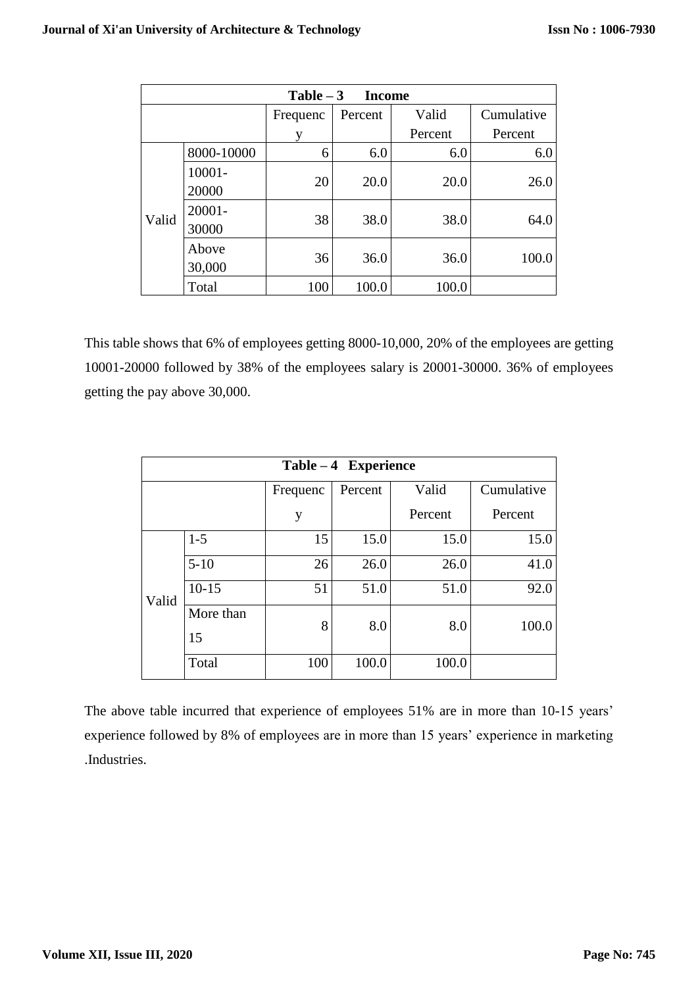| Table $-3$<br><b>Income</b> |                 |          |         |         |            |  |  |
|-----------------------------|-----------------|----------|---------|---------|------------|--|--|
|                             |                 | Frequenc | Percent | Valid   | Cumulative |  |  |
|                             |                 |          |         | Percent | Percent    |  |  |
| Valid                       | 8000-10000      | 6        | 6.0     | 6.0     | 6.0        |  |  |
|                             | 10001-<br>20000 | 20       | 20.0    | 20.0    | 26.0       |  |  |
|                             | 20001-<br>30000 | 38       | 38.0    | 38.0    | 64.0       |  |  |
|                             | Above<br>30,000 | 36       | 36.0    | 36.0    | 100.0      |  |  |
|                             | Total           | 100      | 100.0   | 100.0   |            |  |  |

This table shows that 6% of employees getting 8000-10,000, 20% of the employees are getting 10001-20000 followed by 38% of the employees salary is 20001-30000. 36% of employees getting the pay above 30,000.

| $Table - 4$ Experience |           |          |         |         |            |  |  |
|------------------------|-----------|----------|---------|---------|------------|--|--|
|                        |           | Frequenc | Percent | Valid   | Cumulative |  |  |
|                        |           | y        |         | Percent | Percent    |  |  |
| Valid                  | $1 - 5$   | 15       | 15.0    | 15.0    | 15.0       |  |  |
|                        | $5-10$    | 26       | 26.0    | 26.0    | 41.0       |  |  |
|                        | $10-15$   | 51       | 51.0    | 51.0    | 92.0       |  |  |
|                        | More than | 8        | 8.0     | 8.0     | 100.0      |  |  |
|                        | 15        |          |         |         |            |  |  |
|                        | Total     | 100      | 100.0   | 100.0   |            |  |  |

The above table incurred that experience of employees 51% are in more than 10-15 years' experience followed by 8% of employees are in more than 15 years' experience in marketing .Industries.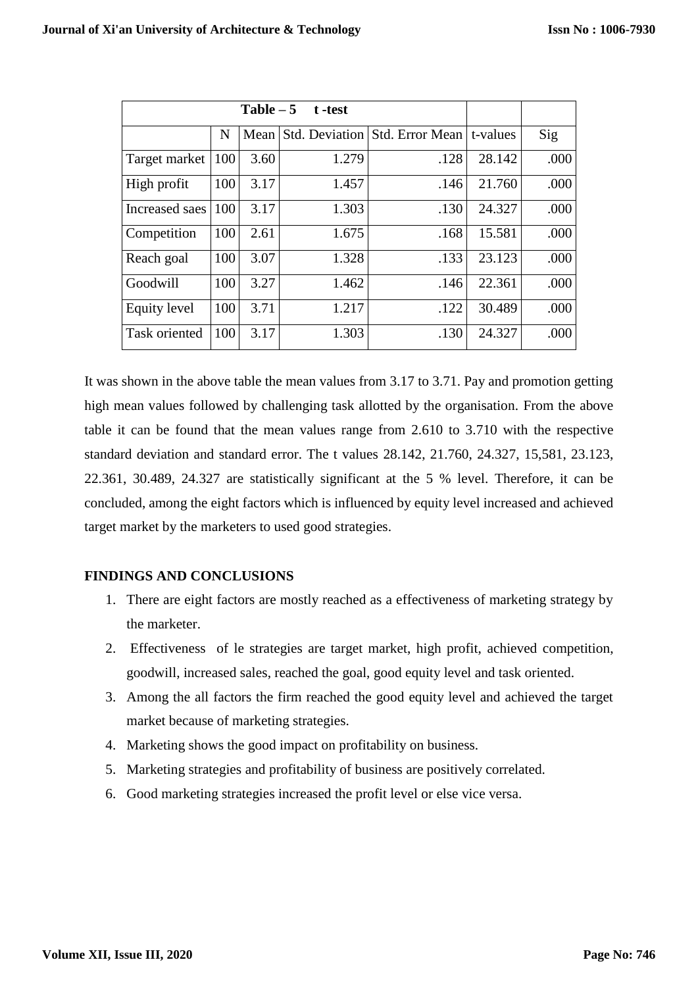|                      |     | $Table - 5$ | t -test |                                  |          |      |
|----------------------|-----|-------------|---------|----------------------------------|----------|------|
|                      | N   | Mean        |         | Std. Deviation   Std. Error Mean | t-values | Sig  |
| Target market        | 100 | 3.60        | 1.279   | .128                             | 28.142   | .000 |
| High profit          | 100 | 3.17        | 1.457   | .146                             | 21.760   | .000 |
| Increased saes       | 100 | 3.17        | 1.303   | .130                             | 24.327   | .000 |
| Competition          | 100 | 2.61        | 1.675   | .168                             | 15.581   | .000 |
| Reach goal           | 100 | 3.07        | 1.328   | .133                             | 23.123   | .000 |
| Goodwill             | 100 | 3.27        | 1.462   | .146                             | 22.361   | .000 |
| Equity level         | 100 | 3.71        | 1.217   | .122                             | 30.489   | .000 |
| <b>Task oriented</b> | 100 | 3.17        | 1.303   | .130                             | 24.327   | .000 |

It was shown in the above table the mean values from 3.17 to 3.71. Pay and promotion getting high mean values followed by challenging task allotted by the organisation. From the above table it can be found that the mean values range from 2.610 to 3.710 with the respective standard deviation and standard error. The t values 28.142, 21.760, 24.327, 15,581, 23.123, 22.361, 30.489, 24.327 are statistically significant at the 5 % level. Therefore, it can be concluded, among the eight factors which is influenced by equity level increased and achieved target market by the marketers to used good strategies.

# **FINDINGS AND CONCLUSIONS**

- 1. There are eight factors are mostly reached as a effectiveness of marketing strategy by the marketer.
- 2. Effectiveness of le strategies are target market, high profit, achieved competition, goodwill, increased sales, reached the goal, good equity level and task oriented.
- 3. Among the all factors the firm reached the good equity level and achieved the target market because of marketing strategies.
- 4. Marketing shows the good impact on profitability on business.
- 5. Marketing strategies and profitability of business are positively correlated.
- 6. Good marketing strategies increased the profit level or else vice versa.